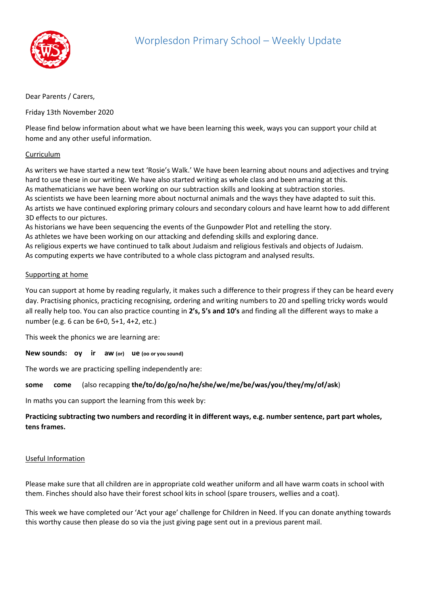

## Dear Parents / Carers,

Friday 13th November 2020

Please find below information about what we have been learning this week, ways you can support your child at home and any other useful information.

## Curriculum

As writers we have started a new text 'Rosie's Walk.' We have been learning about nouns and adjectives and trying hard to use these in our writing. We have also started writing as whole class and been amazing at this. As mathematicians we have been working on our subtraction skills and looking at subtraction stories. As scientists we have been learning more about nocturnal animals and the ways they have adapted to suit this. As artists we have continued exploring primary colours and secondary colours and have learnt how to add different 3D effects to our pictures.

As historians we have been sequencing the events of the Gunpowder Plot and retelling the story.

As athletes we have been working on our attacking and defending skills and exploring dance.

As religious experts we have continued to talk about Judaism and religious festivals and objects of Judaism. As computing experts we have contributed to a whole class pictogram and analysed results.

## Supporting at home

You can support at home by reading regularly, it makes such a difference to their progress if they can be heard every day. Practising phonics, practicing recognising, ordering and writing numbers to 20 and spelling tricky words would all really help too. You can also practice counting in **2's, 5's and 10's** and finding all the different ways to make a number (e.g. 6 can be 6+0, 5+1, 4+2, etc.)

This week the phonics we are learning are:

**New sounds: oy ir aw (or) ue (oo or you sound)** 

The words we are practicing spelling independently are:

**some come** (also recapping **the/to/do/go/no/he/she/we/me/be/was/you/they/my/of/ask**)

In maths you can support the learning from this week by:

**Practicing subtracting two numbers and recording it in different ways, e.g. number sentence, part part wholes, tens frames.**

## Useful Information

Please make sure that all children are in appropriate cold weather uniform and all have warm coats in school with them. Finches should also have their forest school kits in school (spare trousers, wellies and a coat).

This week we have completed our 'Act your age' challenge for Children in Need. If you can donate anything towards this worthy cause then please do so via the just giving page sent out in a previous parent mail.